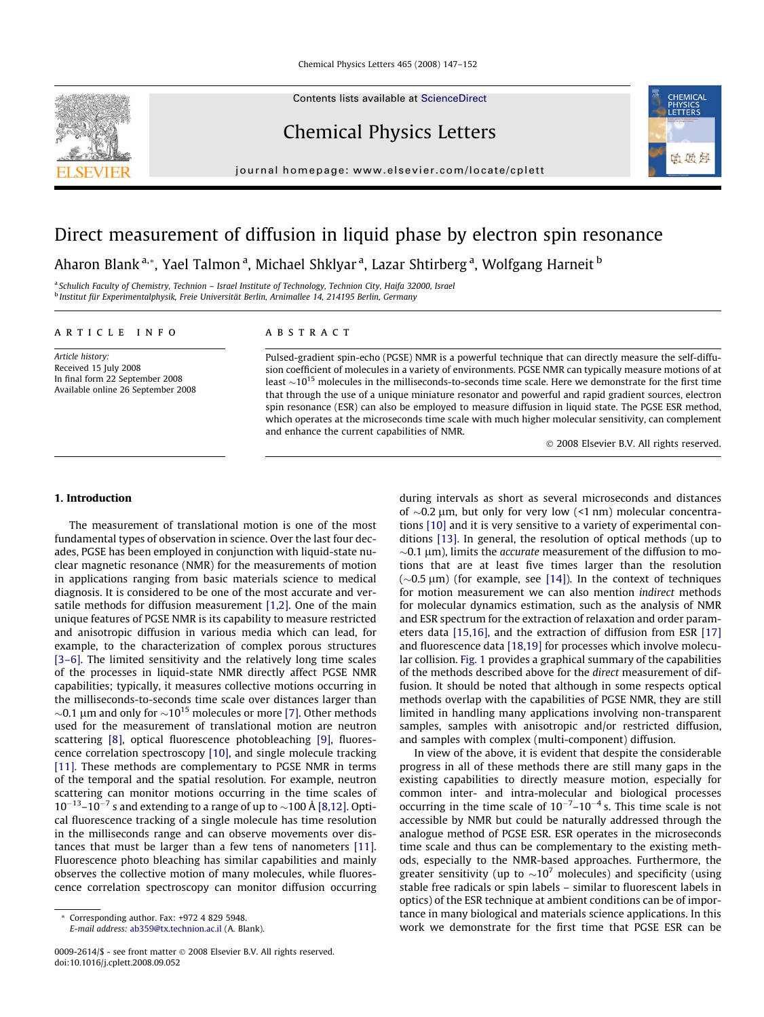Contents lists available at [ScienceDirect](http://www.sciencedirect.com/science/journal/00092614)

# Chemical Physics Letters

journal homepage: [www.elsevier.com/locate/cplett](http://www.elsevier.com/locate/cplett)



# Direct measurement of diffusion in liquid phase by electron spin resonance

Aharon Blank <sup>a,</sup>\*, Yael Talmon <sup>a</sup>, Michael Shklyar <sup>a</sup>, Lazar Shtirberg <sup>a</sup>, Wolfgang Harneit <sup>b</sup>

<sup>a</sup> Schulich Faculty of Chemistry, Technion – Israel Institute of Technology, Technion City, Haifa 32000, Israel <sup>b</sup> Institut für Experimentalphysik, Freie Universität Berlin, Arnimallee 14, 214195 Berlin, Germany

## article info

Article history: Received 15 July 2008 In final form 22 September 2008 Available online 26 September 2008

# ABSTRACT

Pulsed-gradient spin-echo (PGSE) NMR is a powerful technique that can directly measure the self-diffusion coefficient of molecules in a variety of environments. PGSE NMR can typically measure motions of at least  $\sim$ 10<sup>15</sup> molecules in the milliseconds-to-seconds time scale. Here we demonstrate for the first time that through the use of a unique miniature resonator and powerful and rapid gradient sources, electron spin resonance (ESR) can also be employed to measure diffusion in liquid state. The PGSE ESR method, which operates at the microseconds time scale with much higher molecular sensitivity, can complement and enhance the current capabilities of NMR.

- 2008 Elsevier B.V. All rights reserved.

# 1. Introduction

The measurement of translational motion is one of the most fundamental types of observation in science. Over the last four decades, PGSE has been employed in conjunction with liquid-state nuclear magnetic resonance (NMR) for the measurements of motion in applications ranging from basic materials science to medical diagnosis. It is considered to be one of the most accurate and versatile methods for diffusion measurement [\[1,2\]](#page-5-0). One of the main unique features of PGSE NMR is its capability to measure restricted and anisotropic diffusion in various media which can lead, for example, to the characterization of complex porous structures [\[3–6\].](#page-5-0) The limited sensitivity and the relatively long time scales of the processes in liquid-state NMR directly affect PGSE NMR capabilities; typically, it measures collective motions occurring in the milliseconds-to-seconds time scale over distances larger than  $\sim$ 0.1 µm and only for  $\sim$ 10<sup>15</sup> molecules or more [\[7\].](#page-5-0) Other methods used for the measurement of translational motion are neutron scattering [\[8\]](#page-5-0), optical fluorescence photobleaching [\[9\],](#page-5-0) fluorescence correlation spectroscopy [\[10\]](#page-5-0), and single molecule tracking [\[11\].](#page-5-0) These methods are complementary to PGSE NMR in terms of the temporal and the spatial resolution. For example, neutron scattering can monitor motions occurring in the time scales of  $10^{-13}$ – $10^{-7}$  s and extending to a range of up to  $\sim$ 100 Å [\[8,12\]](#page-5-0). Optical fluorescence tracking of a single molecule has time resolution in the milliseconds range and can observe movements over distances that must be larger than a few tens of nanometers [\[11\].](#page-5-0) Fluorescence photo bleaching has similar capabilities and mainly observes the collective motion of many molecules, while fluorescence correlation spectroscopy can monitor diffusion occurring during intervals as short as several microseconds and distances of  $\sim$ 0.2  $\mu$ m, but only for very low (<1 nm) molecular concentrations [\[10\]](#page-5-0) and it is very sensitive to a variety of experimental conditions [\[13\]](#page-5-0). In general, the resolution of optical methods (up to  $\sim$ 0.1  $\mu$ m), limits the *accurate* measurement of the diffusion to motions that are at least five times larger than the resolution  $(\sim 0.5 \,\mu m)$  (for example, see [\[14\]](#page-5-0)). In the context of techniques for motion measurement we can also mention indirect methods for molecular dynamics estimation, such as the analysis of NMR and ESR spectrum for the extraction of relaxation and order parameters data [\[15,16\]](#page-5-0), and the extraction of diffusion from ESR [\[17\]](#page-5-0) and fluorescence data [\[18,19\]](#page-5-0) for processes which involve molecular collision. [Fig. 1](#page-1-0) provides a graphical summary of the capabilities of the methods described above for the direct measurement of diffusion. It should be noted that although in some respects optical methods overlap with the capabilities of PGSE NMR, they are still limited in handling many applications involving non-transparent samples, samples with anisotropic and/or restricted diffusion, and samples with complex (multi-component) diffusion.

In view of the above, it is evident that despite the considerable progress in all of these methods there are still many gaps in the existing capabilities to directly measure motion, especially for common inter- and intra-molecular and biological processes occurring in the time scale of  $10^{-7}$ – $10^{-4}$  s. This time scale is not accessible by NMR but could be naturally addressed through the analogue method of PGSE ESR. ESR operates in the microseconds time scale and thus can be complementary to the existing methods, especially to the NMR-based approaches. Furthermore, the greater sensitivity (up to  $\sim$ 10<sup>7</sup> molecules) and specificity (using stable free radicals or spin labels – similar to fluorescent labels in optics) of the ESR technique at ambient conditions can be of importance in many biological and materials science applications. In this work we demonstrate for the first time that PGSE ESR can be

Corresponding author. Fax: +972 4 829 5948.

E-mail address: [ab359@tx.technion.ac.il](mailto:ab359@tx.technion.ac.il) (A. Blank).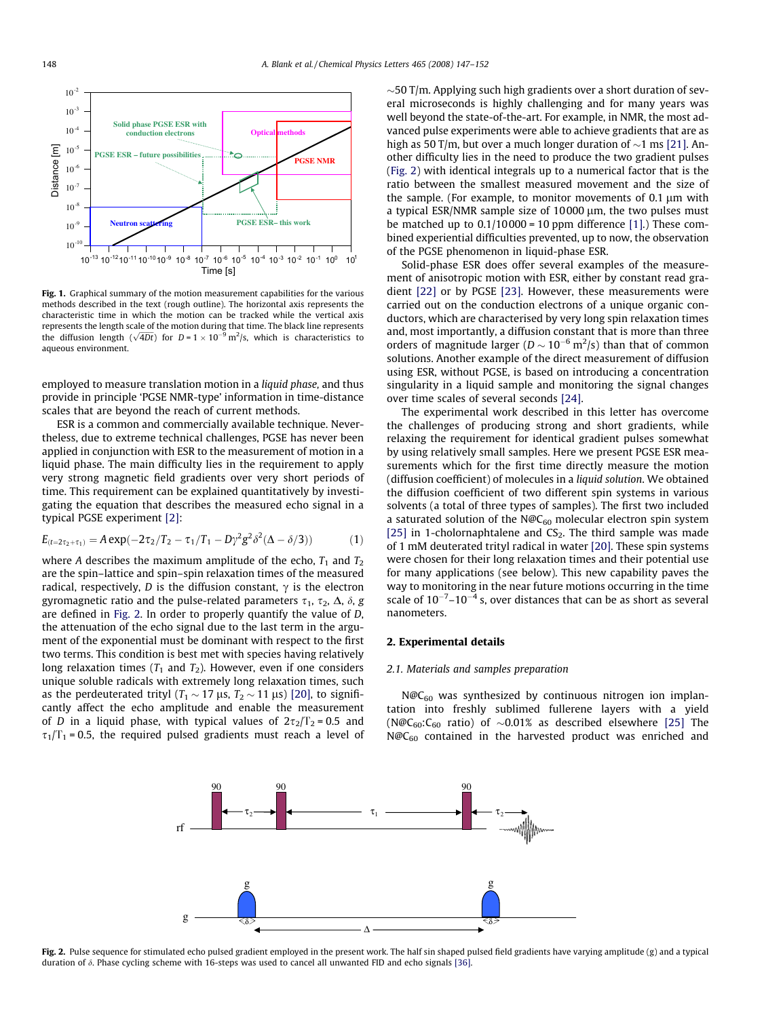<span id="page-1-0"></span>

Fig. 1. Graphical summary of the motion measurement capabilities for the various methods described in the text (rough outline). The horizontal axis represents the characteristic time in which the motion can be tracked while the vertical axis represents the length scale of the motion during that time. The black line represents the diffusion length  $(\sqrt{4Dt})$  for  $D = 1 \times 10^{-9}$  m<sup>2</sup>/s, which is characteristics to aqueous environment.

employed to measure translation motion in a liquid phase, and thus provide in principle 'PGSE NMR-type' information in time-distance scales that are beyond the reach of current methods.

ESR is a common and commercially available technique. Nevertheless, due to extreme technical challenges, PGSE has never been applied in conjunction with ESR to the measurement of motion in a liquid phase. The main difficulty lies in the requirement to apply very strong magnetic field gradients over very short periods of time. This requirement can be explained quantitatively by investigating the equation that describes the measured echo signal in a typical PGSE experiment [\[2\]:](#page-5-0)

$$
E_{(t=2\tau_2+\tau_1)} = A \exp(-2\tau_2/T_2 - \tau_1/T_1 - D\gamma^2 g^2 \delta^2 (\Delta - \delta/3))
$$
 (1)

where A describes the maximum amplitude of the echo,  $T_1$  and  $T_2$ are the spin–lattice and spin–spin relaxation times of the measured radical, respectively, D is the diffusion constant,  $\gamma$  is the electron gyromagnetic ratio and the pulse-related parameters  $\tau_1$ ,  $\tau_2$ ,  $\Delta$ ,  $\delta$ , g are defined in Fig. 2. In order to properly quantify the value of D, the attenuation of the echo signal due to the last term in the argument of the exponential must be dominant with respect to the first two terms. This condition is best met with species having relatively long relaxation times  $(T_1$  and  $T_2$ ). However, even if one considers unique soluble radicals with extremely long relaxation times, such as the perdeuterated trityl ( $T_1 \sim 17$  µs,  $T_2 \sim 11$  µs) [\[20\]](#page-5-0), to significantly affect the echo amplitude and enable the measurement of D in a liquid phase, with typical values of  $2\tau_2/T_2 = 0.5$  and  $\tau_1/T_1$  = 0.5, the required pulsed gradients must reach a level of  $\sim$ 50 T/m. Applying such high gradients over a short duration of several microseconds is highly challenging and for many years was well beyond the state-of-the-art. For example, in NMR, the most advanced pulse experiments were able to achieve gradients that are as high as 50 T/m, but over a much longer duration of  $\sim$ 1 ms [\[21\]](#page-5-0). Another difficulty lies in the need to produce the two gradient pulses (Fig. 2) with identical integrals up to a numerical factor that is the ratio between the smallest measured movement and the size of the sample. (For example, to monitor movements of  $0.1 \mu m$  with a typical ESR/NMR sample size of  $10000 \mu m$ , the two pulses must be matched up to  $0.1/10000 = 10$  ppm difference [\[1\]](#page-5-0).) These combined experiential difficulties prevented, up to now, the observation of the PGSE phenomenon in liquid-phase ESR.

Solid-phase ESR does offer several examples of the measurement of anisotropic motion with ESR, either by constant read gradient [\[22\]](#page-5-0) or by PGSE [\[23\]](#page-5-0). However, these measurements were carried out on the conduction electrons of a unique organic conductors, which are characterised by very long spin relaxation times and, most importantly, a diffusion constant that is more than three orders of magnitude larger ( $D \sim 10^{-6}$  m<sup>2</sup>/s) than that of common solutions. Another example of the direct measurement of diffusion using ESR, without PGSE, is based on introducing a concentration singularity in a liquid sample and monitoring the signal changes over time scales of several seconds [\[24\]](#page-5-0).

The experimental work described in this letter has overcome the challenges of producing strong and short gradients, while relaxing the requirement for identical gradient pulses somewhat by using relatively small samples. Here we present PGSE ESR measurements which for the first time directly measure the motion (diffusion coefficient) of molecules in a liquid solution. We obtained the diffusion coefficient of two different spin systems in various solvents (a total of three types of samples). The first two included a saturated solution of the  $N@C_{60}$  molecular electron spin system [\[25\]](#page-5-0) in 1-cholornaphtalene and  $CS<sub>2</sub>$ . The third sample was made of 1 mM deuterated trityl radical in water [\[20\]](#page-5-0). These spin systems were chosen for their long relaxation times and their potential use for many applications (see below). This new capability paves the way to monitoring in the near future motions occurring in the time scale of  $10^{-7}$ – $10^{-4}$  s, over distances that can be as short as several nanometers.

# 2. Experimental details

#### 2.1. Materials and samples preparation

 $N@C_{60}$  was synthesized by continuous nitrogen ion implantation into freshly sublimed fullerene layers with a yield (N@C<sub>60</sub>:C<sub>60</sub> ratio) of  $\sim$ 0.01% as described elsewhere [\[25\]](#page-5-0) The  $N@C_{60}$  contained in the harvested product was enriched and



Fig. 2. Pulse sequence for stimulated echo pulsed gradient employed in the present work. The half sin shaped pulsed field gradients have varying amplitude (g) and a typical duration of  $\delta$ . Phase cycling scheme with 16-steps was used to cancel all unwanted FID and echo signals [\[36\]](#page-5-0).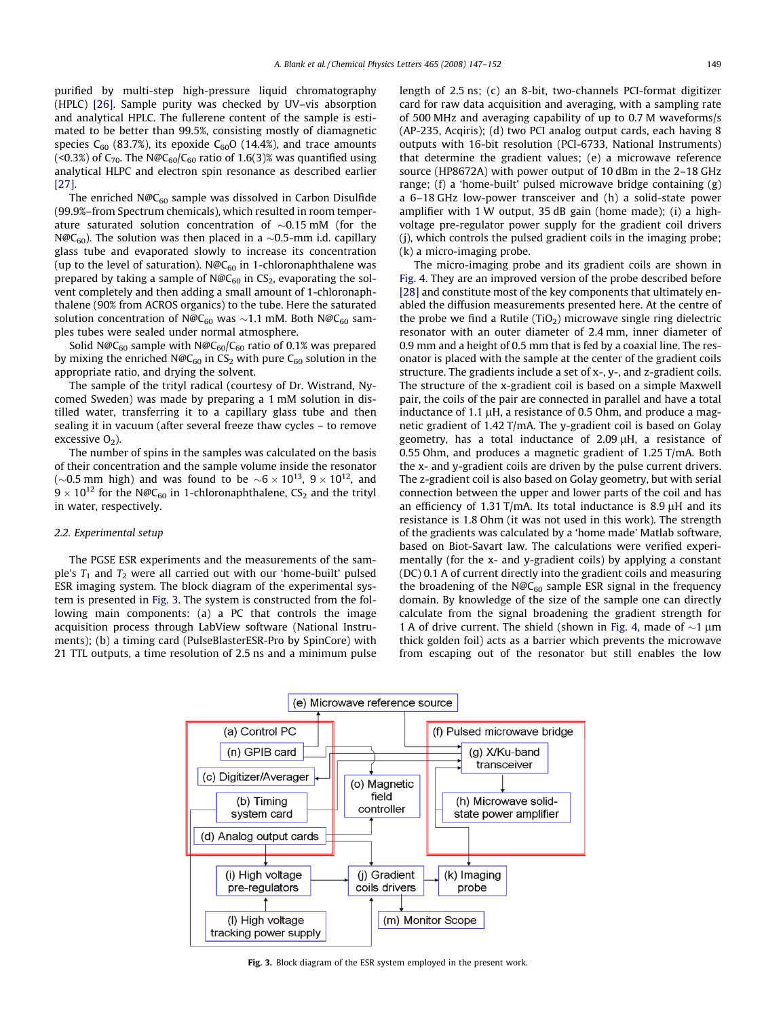purified by multi-step high-pressure liquid chromatography (HPLC) [\[26\]](#page-5-0). Sample purity was checked by UV–vis absorption and analytical HPLC. The fullerene content of the sample is estimated to be better than 99.5%, consisting mostly of diamagnetic species  $C_{60}$  (83.7%), its epoxide  $C_{60}O$  (14.4%), and trace amounts (<0.3%) of  $C_{70}$ . The N@C<sub>60</sub>/C<sub>60</sub> ratio of 1.6(3)% was quantified using analytical HLPC and electron spin resonance as described earlier [\[27\].](#page-5-0)

The enriched  $N@C_{60}$  sample was dissolved in Carbon Disulfide (99.9%–from Spectrum chemicals), which resulted in room temperature saturated solution concentration of  ${\sim}0.15\ \mathrm{mM}$  (for the N@C $_{60}$ ). The solution was then placed in a  ${\sim}$ 0.5-mm i.d. capillary glass tube and evaporated slowly to increase its concentration (up to the level of saturation). N@C<sub>60</sub> in 1-chloronaphthalene was prepared by taking a sample of  $N@C_{60}$  in  $CS_2$ , evaporating the solvent completely and then adding a small amount of 1-chloronaphthalene (90% from ACROS organics) to the tube. Here the saturated solution concentration of N@C<sub>60</sub> was  ${\sim}1.1$  mM. Both N@C<sub>60</sub> samples tubes were sealed under normal atmosphere.

Solid N@C<sub>60</sub> sample with N@C<sub>60</sub>/C<sub>60</sub> ratio of 0.1% was prepared by mixing the enriched  $N@C_{60}$  in CS<sub>2</sub> with pure C<sub>60</sub> solution in the appropriate ratio, and drying the solvent.

The sample of the trityl radical (courtesy of Dr. Wistrand, Nycomed Sweden) was made by preparing a 1 mM solution in distilled water, transferring it to a capillary glass tube and then sealing it in vacuum (after several freeze thaw cycles – to remove excessive  $O_2$ ).

The number of spins in the samples was calculated on the basis of their concentration and the sample volume inside the resonator ( $\sim$ 0.5 mm high) and was found to be  $\sim$ 6  $\times$  10<sup>13</sup>, 9  $\times$  10<sup>12</sup>, and  $9 \times 10^{12}$  for the N@C<sub>60</sub> in 1-chloronaphthalene, CS<sub>2</sub> and the trityl in water, respectively.

## 2.2. Experimental setup

The PGSE ESR experiments and the measurements of the sample's  $T_1$  and  $T_2$  were all carried out with our 'home-built' pulsed ESR imaging system. The block diagram of the experimental system is presented in Fig. 3. The system is constructed from the following main components: (a) a PC that controls the image acquisition process through LabView software (National Instruments); (b) a timing card (PulseBlasterESR-Pro by SpinCore) with 21 TTL outputs, a time resolution of 2.5 ns and a minimum pulse length of 2.5 ns; (c) an 8-bit, two-channels PCI-format digitizer card for raw data acquisition and averaging, with a sampling rate of 500 MHz and averaging capability of up to 0.7 M waveforms/s (AP-235, Acqiris); (d) two PCI analog output cards, each having 8 outputs with 16-bit resolution (PCI-6733, National Instruments) that determine the gradient values; (e) a microwave reference source (HP8672A) with power output of 10 dBm in the 2–18 GHz range; (f) a 'home-built' pulsed microwave bridge containing (g) a 6–18 GHz low-power transceiver and (h) a solid-state power amplifier with 1 W output, 35 dB gain (home made); (i) a highvoltage pre-regulator power supply for the gradient coil drivers (j), which controls the pulsed gradient coils in the imaging probe; (k) a micro-imaging probe.

The micro-imaging probe and its gradient coils are shown in [Fig. 4.](#page-3-0) They are an improved version of the probe described before [\[28\]](#page-5-0) and constitute most of the key components that ultimately enabled the diffusion measurements presented here. At the centre of the probe we find a Rutile (TiO<sub>2</sub>) microwave single ring dielectric resonator with an outer diameter of 2.4 mm, inner diameter of 0.9 mm and a height of 0.5 mm that is fed by a coaxial line. The resonator is placed with the sample at the center of the gradient coils structure. The gradients include a set of x-, y-, and z-gradient coils. The structure of the x-gradient coil is based on a simple Maxwell pair, the coils of the pair are connected in parallel and have a total inductance of 1.1  $\mu$ H, a resistance of 0.5 Ohm, and produce a magnetic gradient of 1.42 T/mA. The y-gradient coil is based on Golay geometry, has a total inductance of  $2.09 \mu H$ , a resistance of 0.55 Ohm, and produces a magnetic gradient of 1.25 T/mA. Both the x- and y-gradient coils are driven by the pulse current drivers. The z-gradient coil is also based on Golay geometry, but with serial connection between the upper and lower parts of the coil and has an efficiency of 1.31 T/mA. Its total inductance is 8.9  $\mu$ H and its resistance is 1.8 Ohm (it was not used in this work). The strength of the gradients was calculated by a 'home made' Matlab software, based on Biot-Savart law. The calculations were verified experimentally (for the x- and y-gradient coils) by applying a constant (DC) 0.1 A of current directly into the gradient coils and measuring the broadening of the  $N@C_{60}$  sample ESR signal in the frequency domain. By knowledge of the size of the sample one can directly calculate from the signal broadening the gradient strength for 1 A of drive current. The shield (shown in [Fig. 4](#page-3-0), made of  $\sim$ 1 µm thick golden foil) acts as a barrier which prevents the microwave from escaping out of the resonator but still enables the low



Fig. 3. Block diagram of the ESR system employed in the present work.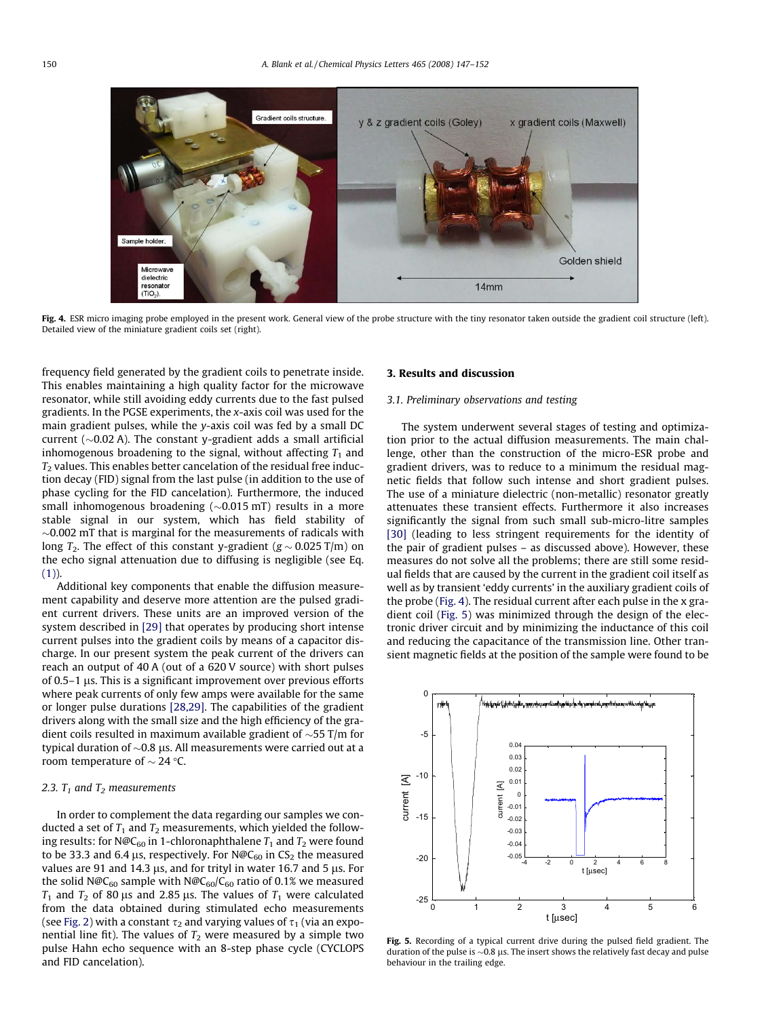<span id="page-3-0"></span>

Fig. 4. ESR micro imaging probe employed in the present work. General view of the probe structure with the tiny resonator taken outside the gradient coil structure (left). Detailed view of the miniature gradient coils set (right).

frequency field generated by the gradient coils to penetrate inside. This enables maintaining a high quality factor for the microwave resonator, while still avoiding eddy currents due to the fast pulsed gradients. In the PGSE experiments, the x-axis coil was used for the main gradient pulses, while the y-axis coil was fed by a small DC current ( $\sim$ 0.02 A). The constant y-gradient adds a small artificial inhomogenous broadening to the signal, without affecting  $T_1$  and  $T<sub>2</sub>$  values. This enables better cancelation of the residual free induction decay (FID) signal from the last pulse (in addition to the use of phase cycling for the FID cancelation). Furthermore, the induced small inhomogenous broadening ( $\sim$ 0.015 mT) results in a more stable signal in our system, which has field stability of  $\sim$ 0.002 mT that is marginal for the measurements of radicals with long  $T_2.$  The effect of this constant y-gradient (g  $\sim$  0.025 T/m) on the echo signal attenuation due to diffusing is negligible (see Eq.  $(1)$ ).

Additional key components that enable the diffusion measurement capability and deserve more attention are the pulsed gradient current drivers. These units are an improved version of the system described in [\[29\]](#page-5-0) that operates by producing short intense current pulses into the gradient coils by means of a capacitor discharge. In our present system the peak current of the drivers can reach an output of 40 A (out of a 620 V source) with short pulses of  $0.5-1$   $\mu$ s. This is a significant improvement over previous efforts where peak currents of only few amps were available for the same or longer pulse durations [\[28,29\]](#page-5-0). The capabilities of the gradient drivers along with the small size and the high efficiency of the gradient coils resulted in maximum available gradient of  $\sim$ 55 T/m for typical duration of  ${\sim}0.8$  µs. All measurements were carried out at a room temperature of  $\sim$  24 °C.

# 2.3.  $T_1$  and  $T_2$  measurements

In order to complement the data regarding our samples we conducted a set of  $T_1$  and  $T_2$  measurements, which yielded the following results: for N@C<sub>60</sub> in 1-chloronaphthalene  $T_1$  and  $T_2$  were found to be 33.3 and 6.4 µs, respectively. For  $N@C_{60}$  in CS<sub>2</sub> the measured values are 91 and 14.3  $\mu$ s, and for trityl in water 16.7 and 5  $\mu$ s. For the solid N@C<sub>60</sub> sample with N@C<sub>60</sub>/C<sub>60</sub> ratio of 0.1% we measured  $T_1$  and  $T_2$  of 80 µs and 2.85 µs. The values of  $T_1$  were calculated from the data obtained during stimulated echo measurements (see [Fig. 2\)](#page-1-0) with a constant  $\tau_2$  and varying values of  $\tau_1$  (via an exponential line fit). The values of  $T_2$  were measured by a simple two pulse Hahn echo sequence with an 8-step phase cycle (CYCLOPS and FID cancelation).

# 3. Results and discussion

### 3.1. Preliminary observations and testing

The system underwent several stages of testing and optimization prior to the actual diffusion measurements. The main challenge, other than the construction of the micro-ESR probe and gradient drivers, was to reduce to a minimum the residual magnetic fields that follow such intense and short gradient pulses. The use of a miniature dielectric (non-metallic) resonator greatly attenuates these transient effects. Furthermore it also increases significantly the signal from such small sub-micro-litre samples [\[30\]](#page-5-0) (leading to less stringent requirements for the identity of the pair of gradient pulses – as discussed above). However, these measures do not solve all the problems; there are still some residual fields that are caused by the current in the gradient coil itself as well as by transient 'eddy currents' in the auxiliary gradient coils of the probe (Fig. 4). The residual current after each pulse in the x gradient coil (Fig. 5) was minimized through the design of the electronic driver circuit and by minimizing the inductance of this coil and reducing the capacitance of the transmission line. Other transient magnetic fields at the position of the sample were found to be



Fig. 5. Recording of a typical current drive during the pulsed field gradient. The duration of the pulse is  $\sim$  0.8  $\mu$ s. The insert shows the relatively fast decay and pulse behaviour in the trailing edge.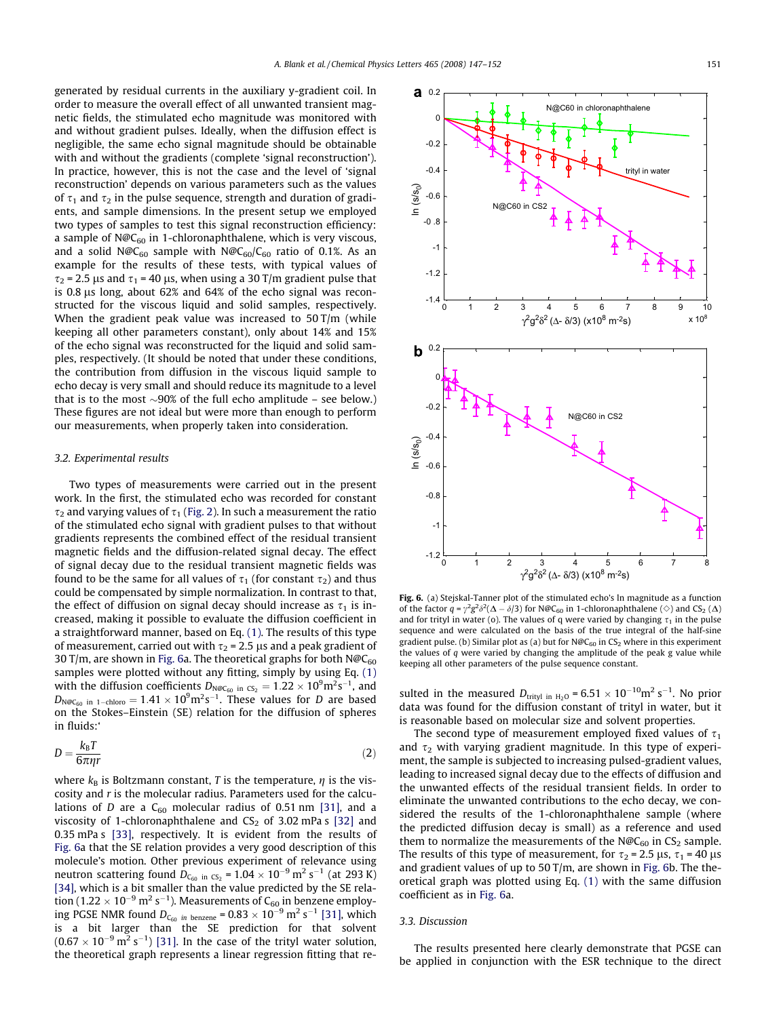<span id="page-4-0"></span>generated by residual currents in the auxiliary y-gradient coil. In order to measure the overall effect of all unwanted transient magnetic fields, the stimulated echo magnitude was monitored with and without gradient pulses. Ideally, when the diffusion effect is negligible, the same echo signal magnitude should be obtainable with and without the gradients (complete 'signal reconstruction'). In practice, however, this is not the case and the level of 'signal reconstruction' depends on various parameters such as the values of  $\tau_1$  and  $\tau_2$  in the pulse sequence, strength and duration of gradients, and sample dimensions. In the present setup we employed two types of samples to test this signal reconstruction efficiency: a sample of  $N@C_{60}$  in 1-chloronaphthalene, which is very viscous, and a solid N@C<sub>60</sub> sample with N@C<sub>60</sub>/C<sub>60</sub> ratio of 0.1%. As an example for the results of these tests, with typical values of  $\tau_2$  = 2.5 µs and  $\tau_1$  = 40 µs, when using a 30 T/m gradient pulse that is  $0.8 \mu s$  long, about  $62\%$  and  $64\%$  of the echo signal was reconstructed for the viscous liquid and solid samples, respectively. When the gradient peak value was increased to 50 T/m (while keeping all other parameters constant), only about 14% and 15% of the echo signal was reconstructed for the liquid and solid samples, respectively. (It should be noted that under these conditions, the contribution from diffusion in the viscous liquid sample to echo decay is very small and should reduce its magnitude to a level that is to the most  $\sim$ 90% of the full echo amplitude – see below.) These figures are not ideal but were more than enough to perform our measurements, when properly taken into consideration.

#### 3.2. Experimental results

Two types of measurements were carried out in the present work. In the first, the stimulated echo was recorded for constant  $\tau_2$  and varying values of  $\tau_1$  [\(Fig. 2\)](#page-1-0). In such a measurement the ratio of the stimulated echo signal with gradient pulses to that without gradients represents the combined effect of the residual transient magnetic fields and the diffusion-related signal decay. The effect of signal decay due to the residual transient magnetic fields was found to be the same for all values of  $\tau_1$  (for constant  $\tau_2$ ) and thus could be compensated by simple normalization. In contrast to that, the effect of diffusion on signal decay should increase as  $\tau_1$  is increased, making it possible to evaluate the diffusion coefficient in a straightforward manner, based on Eq. [\(1\).](#page-1-0) The results of this type of measurement, carried out with  $\tau_2$  = 2.5 µs and a peak gradient of 30 T/m, are shown in Fig. 6a. The theoretical graphs for both  $N@C_{60}$ samples were plotted without any fitting, simply by using Eq. [\(1\)](#page-1-0) with the diffusion coefficients  $D_{\text{N@C}_{60}}$  in  $\text{cs}_2 = 1.22 \times 10^9 \text{m}^2 \text{s}^{-1}$ , and  $D_{\mathsf{N@C_{60}}}$  in 1-chloro  $= 1.41 \times 10^9 \mathrm{m^2 s^{-1}}.$  These values for  $D$  are based on the Stokes–Einstein (SE) relation for the diffusion of spheres in fluids:'

$$
D = \frac{k_{\rm B}T}{6\pi\eta r} \tag{2}
$$

where  $k_B$  is Boltzmann constant, T is the temperature,  $\eta$  is the viscosity and  $r$  is the molecular radius. Parameters used for the calculations of D are a  $C_{60}$  molecular radius of 0.51 nm [\[31\],](#page-5-0) and a viscosity of 1-chloronaphthalene and  $CS_2$  of 3.02 mPa s [\[32\]](#page-5-0) and 0.35 mPa s [\[33\],](#page-5-0) respectively. It is evident from the results of Fig. 6a that the SE relation provides a very good description of this molecule's motion. Other previous experiment of relevance using neutron scattering found  $D_{C_{60}}$  in  $_{C_{2}}$  = 1.04  $\times$  10<sup>-9</sup> m<sup>2</sup> s<sup>-1</sup> (at 293 K) [\[34\],](#page-5-0) which is a bit smaller than the value predicted by the SE relation (1.22  $\times$  10 $^{-9}$  m $^2$  s $^{-1}$ ). Measurements of C<sub>60</sub> in benzene employing PGSE NMR found  $D_{C_{60}}$  in benzene = 0.83  $\times$  10<sup>-9</sup> m<sup>2</sup> s<sup>-1</sup> [\[31\]](#page-5-0), which is a bit larger than the SE prediction for that solvent  $(0.67 \times 10^{-9} \,\mathrm{m^2\,s^{-1}})$  [\[31\]](#page-5-0). In the case of the trityl water solution, the theoretical graph represents a linear regression fitting that re-



Fig. 6. (a) Stejskal-Tanner plot of the stimulated echo's ln magnitude as a function of the factor  $q = \gamma^2 g^2 \delta^2 (\Delta - \delta/3)$  for N@C<sub>60</sub> in 1-chloronaphthalene ( $\diamond$ ) and CS<sub>2</sub> ( $\Delta$ ) and for trityl in water (o). The values of q were varied by changing  $\tau_1$  in the pulse sequence and were calculated on the basis of the true integral of the half-sine gradient pulse. (b) Similar plot as (a) but for  $N@C_{60}$  in CS<sub>2</sub> where in this experiment the values of  $q$  were varied by changing the amplitude of the peak g value while keeping all other parameters of the pulse sequence constant.

sulted in the measured  $D_{\text{trityl in H}_2O} = 6.51 \times 10^{-10} \text{m}^2 \text{ s}^{-1}$ . No prior data was found for the diffusion constant of trityl in water, but it is reasonable based on molecular size and solvent properties.

The second type of measurement employed fixed values of  $\tau_1$ and  $\tau_2$  with varying gradient magnitude. In this type of experiment, the sample is subjected to increasing pulsed-gradient values, leading to increased signal decay due to the effects of diffusion and the unwanted effects of the residual transient fields. In order to eliminate the unwanted contributions to the echo decay, we considered the results of the 1-chloronaphthalene sample (where the predicted diffusion decay is small) as a reference and used them to normalize the measurements of the  $N@C_{60}$  in  $CS<sub>2</sub>$  sample. The results of this type of measurement, for  $\tau_2$  = 2.5 µs,  $\tau_1$  = 40 µs and gradient values of up to 50 T/m, are shown in Fig. 6b. The theoretical graph was plotted using Eq. [\(1\)](#page-1-0) with the same diffusion coefficient as in Fig. 6a.

#### 3.3. Discussion

The results presented here clearly demonstrate that PGSE can be applied in conjunction with the ESR technique to the direct